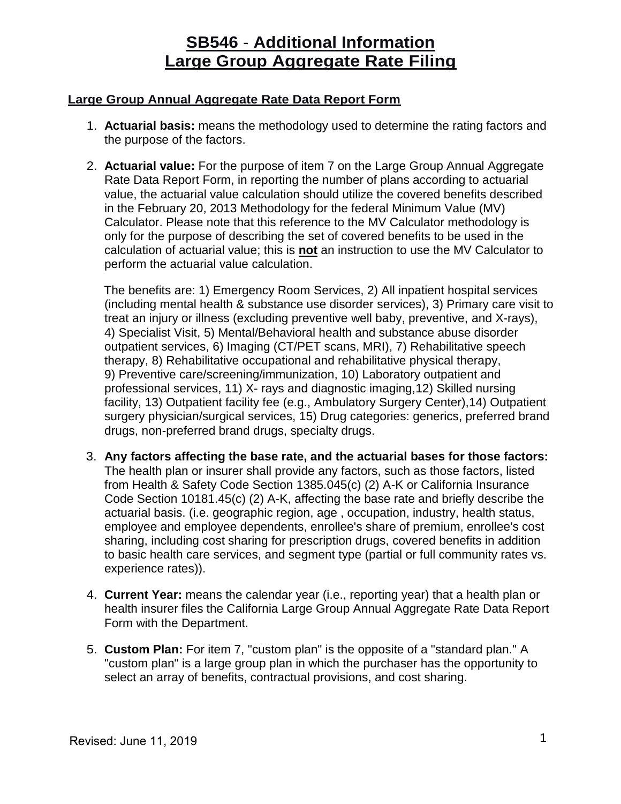## **SB546** - **Additional Information Large Group Aggregate Rate Filing**

## **Large Group Annual Aggregate Rate Data Report Form**

- 1. **Actuarial basis:** means the methodology used to determine the rating factors and the purpose of the factors.
- Rate Data Report Form, in reporting the number of plans according to actuarial Calculator. Please note that this reference to the MV Calculator methodology is only for the purpose of describing the set of covered benefits to be used in the 2. **Actuarial value:** For the purpose of item 7 on the Large Group Annual Aggregate value, the actuarial value calculation should utilize the covered benefits described in the February 20, 2013 Methodology for the federal Minimum Value (MV) calculation of actuarial value; this is **not** an instruction to use the MV Calculator to perform the actuarial value calculation.

The benefits are: 1) Emergency Room Services, 2) All inpatient hospital services (including mental health & substance use disorder services), 3) Primary care visit to treat an injury or illness (excluding preventive well baby, preventive, and X-rays), 4) Specialist Visit, 5) Mental/Behavioral health and substance abuse disorder outpatient services, 6) Imaging (CT/PET scans, MRI), 7) Rehabilitative speech therapy, 8) Rehabilitative occupational and rehabilitative physical therapy, 9) Preventive care/screening/immunization, 10) Laboratory outpatient and professional services, 11) X- rays and diagnostic imaging, 12) Skilled nursing facility, 13) Outpatient facility fee (e.g., Ambulatory Surgery Center),14) Outpatient surgery physician/surgical services, 15) Drug categories: generics, preferred brand drugs, non-preferred brand drugs, specialty drugs.

- 3. **Any factors affecting the base rate, and the actuarial bases for those factors:** The health plan or insurer shall provide any factors, such as those factors, listed from Health & Safety Code Section 1385.045(c) (2) A-K or California Insurance Code Section 10181.45(c) (2) A-K, affecting the base rate and briefly describe the actuarial basis. (i.e. geographic region, age , occupation, industry, health status, employee and employee dependents, enrollee's share of premium, enrollee's cost sharing, including cost sharing for prescription drugs, covered benefits in addition to basic health care services, and segment type (partial or full community rates vs. experience rates)).
- 4. **Current Year:** means the calendar year (i.e., reporting year) that a health plan or health insurer files the California Large Group Annual Aggregate Rate Data Report Form with the Department.
- 5. **Custom Plan:** For item 7, "custom plan" is the opposite of a "standard plan." A "custom plan" is a large group plan in which the purchaser has the opportunity to select an array of benefits, contractual provisions, and cost sharing.